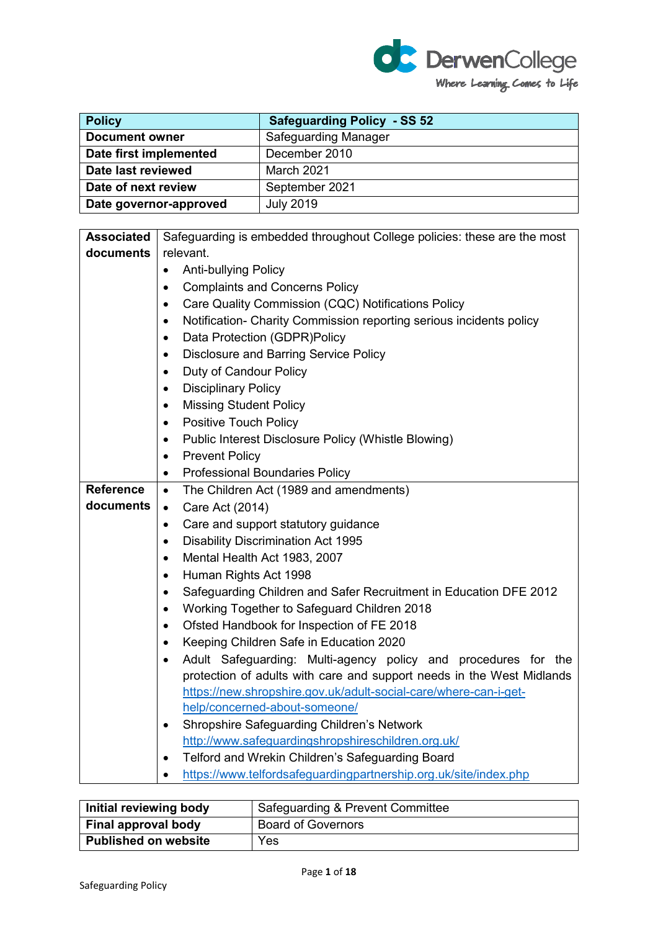

| <b>Policy</b>          | <b>Safeguarding Policy - SS 52</b> |
|------------------------|------------------------------------|
| <b>Document owner</b>  | <b>Safeguarding Manager</b>        |
| Date first implemented | December 2010                      |
| Date last reviewed     | March 2021                         |
| Date of next review    | September 2021                     |
| Date governor-approved | <b>July 2019</b>                   |

| <b>Associated</b> | Safeguarding is embedded throughout College policies: these are the most         |  |  |
|-------------------|----------------------------------------------------------------------------------|--|--|
| documents         | relevant.                                                                        |  |  |
|                   | Anti-bullying Policy<br>$\bullet$                                                |  |  |
|                   | <b>Complaints and Concerns Policy</b><br>$\bullet$                               |  |  |
|                   | Care Quality Commission (CQC) Notifications Policy<br>$\bullet$                  |  |  |
|                   | Notification- Charity Commission reporting serious incidents policy<br>$\bullet$ |  |  |
|                   | Data Protection (GDPR)Policy<br>$\bullet$                                        |  |  |
|                   | <b>Disclosure and Barring Service Policy</b><br>$\bullet$                        |  |  |
|                   | Duty of Candour Policy<br>$\bullet$                                              |  |  |
|                   | <b>Disciplinary Policy</b><br>$\bullet$                                          |  |  |
|                   | <b>Missing Student Policy</b><br>$\bullet$                                       |  |  |
|                   | <b>Positive Touch Policy</b><br>$\bullet$                                        |  |  |
|                   | Public Interest Disclosure Policy (Whistle Blowing)                              |  |  |
|                   | <b>Prevent Policy</b>                                                            |  |  |
|                   | <b>Professional Boundaries Policy</b><br>$\bullet$                               |  |  |
| <b>Reference</b>  | The Children Act (1989 and amendments)<br>$\bullet$                              |  |  |
| documents         | Care Act (2014)<br>$\bullet$                                                     |  |  |
|                   | Care and support statutory guidance<br>$\bullet$                                 |  |  |
|                   | <b>Disability Discrimination Act 1995</b><br>$\bullet$                           |  |  |
|                   | Mental Health Act 1983, 2007<br>$\bullet$                                        |  |  |
|                   | Human Rights Act 1998                                                            |  |  |
|                   | Safeguarding Children and Safer Recruitment in Education DFE 2012<br>$\bullet$   |  |  |
|                   | Working Together to Safeguard Children 2018<br>$\bullet$                         |  |  |
|                   | Ofsted Handbook for Inspection of FE 2018<br>$\bullet$                           |  |  |
|                   | Keeping Children Safe in Education 2020<br>$\bullet$                             |  |  |
|                   | Adult Safeguarding: Multi-agency policy and procedures for the<br>$\bullet$      |  |  |
|                   | protection of adults with care and support needs in the West Midlands            |  |  |
|                   | https://new.shropshire.gov.uk/adult-social-care/where-can-i-get-                 |  |  |
|                   | help/concerned-about-someone/                                                    |  |  |
|                   | Shropshire Safeguarding Children's Network<br>٠                                  |  |  |
|                   | http://www.safeguardingshropshireschildren.org.uk/                               |  |  |
|                   | Telford and Wrekin Children's Safeguarding Board<br>٠                            |  |  |
|                   | https://www.telfordsafeguardingpartnership.org.uk/site/index.php<br>$\bullet$    |  |  |

| Initial reviewing body      | Safeguarding & Prevent Committee |  |
|-----------------------------|----------------------------------|--|
| Final approval body         | <b>Board of Governors</b>        |  |
| <b>Published on website</b> | Yes                              |  |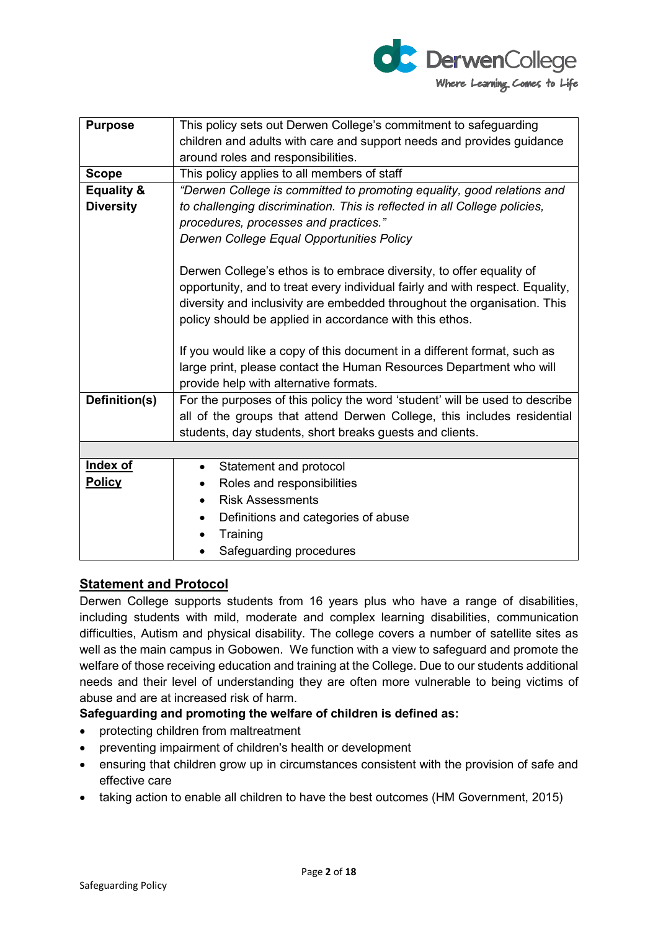

| <b>Purpose</b>        | This policy sets out Derwen College's commitment to safeguarding              |  |  |
|-----------------------|-------------------------------------------------------------------------------|--|--|
|                       | children and adults with care and support needs and provides guidance         |  |  |
|                       | around roles and responsibilities.                                            |  |  |
| <b>Scope</b>          | This policy applies to all members of staff                                   |  |  |
| <b>Equality &amp;</b> | "Derwen College is committed to promoting equality, good relations and        |  |  |
| <b>Diversity</b>      | to challenging discrimination. This is reflected in all College policies,     |  |  |
|                       | procedures, processes and practices."                                         |  |  |
|                       | Derwen College Equal Opportunities Policy                                     |  |  |
|                       | Derwen College's ethos is to embrace diversity, to offer equality of          |  |  |
|                       | opportunity, and to treat every individual fairly and with respect. Equality, |  |  |
|                       | diversity and inclusivity are embedded throughout the organisation. This      |  |  |
|                       |                                                                               |  |  |
|                       | policy should be applied in accordance with this ethos.                       |  |  |
|                       | If you would like a copy of this document in a different format, such as      |  |  |
|                       | large print, please contact the Human Resources Department who will           |  |  |
|                       |                                                                               |  |  |
|                       | provide help with alternative formats.                                        |  |  |
| Definition(s)         | For the purposes of this policy the word 'student' will be used to describe   |  |  |
|                       | all of the groups that attend Derwen College, this includes residential       |  |  |
|                       | students, day students, short breaks guests and clients.                      |  |  |
|                       |                                                                               |  |  |
| Index of              | Statement and protocol<br>$\bullet$                                           |  |  |
| <b>Policy</b>         | Roles and responsibilities                                                    |  |  |
|                       | <b>Risk Assessments</b><br>$\bullet$                                          |  |  |
|                       | Definitions and categories of abuse                                           |  |  |
|                       | Training                                                                      |  |  |
|                       | Safeguarding procedures                                                       |  |  |
|                       |                                                                               |  |  |

# **Statement and Protocol**

Derwen College supports students from 16 years plus who have a range of disabilities, including students with mild, moderate and complex learning disabilities, communication difficulties, Autism and physical disability. The college covers a number of satellite sites as well as the main campus in Gobowen. We function with a view to safeguard and promote the welfare of those receiving education and training at the College. Due to our students additional needs and their level of understanding they are often more vulnerable to being victims of abuse and are at increased risk of harm.

#### **Safeguarding and promoting the welfare of children is defined as:**

- protecting children from maltreatment
- preventing impairment of children's health or development
- ensuring that children grow up in circumstances consistent with the provision of safe and effective care
- taking action to enable all children to have the best outcomes (HM Government, 2015)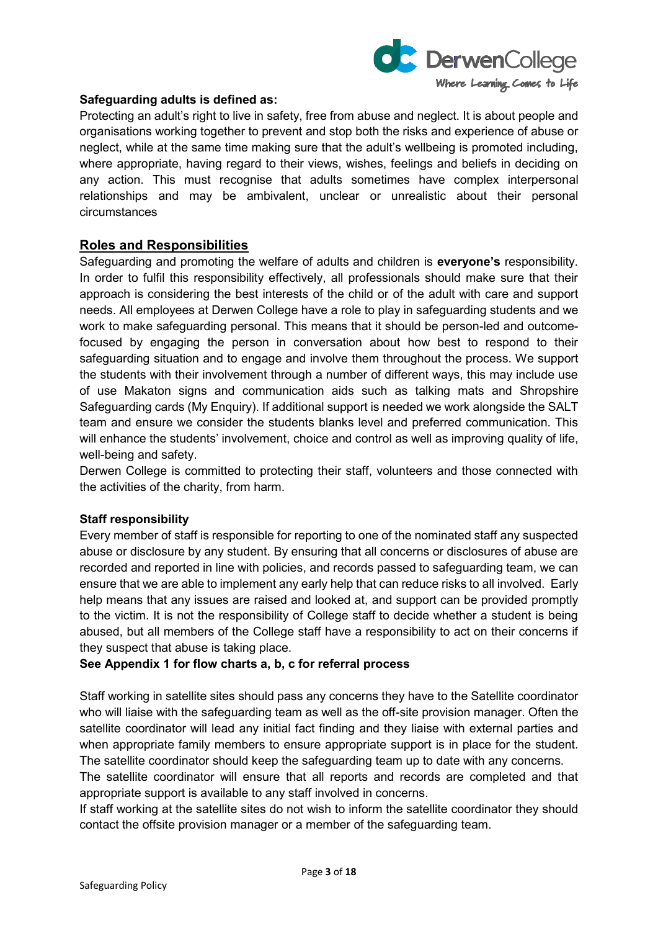

#### **Safeguarding adults is defined as:**

Protecting an adult's right to live in safety, free from abuse and neglect. It is about people and organisations working together to prevent and stop both the risks and experience of abuse or neglect, while at the same time making sure that the adult's wellbeing is promoted including, where appropriate, having regard to their views, wishes, feelings and beliefs in deciding on any action. This must recognise that adults sometimes have complex interpersonal relationships and may be ambivalent, unclear or unrealistic about their personal circumstances

## **Roles and Responsibilities**

Safeguarding and promoting the welfare of adults and children is **everyone's** responsibility. In order to fulfil this responsibility effectively, all professionals should make sure that their approach is considering the best interests of the child or of the adult with care and support needs. All employees at Derwen College have a role to play in safeguarding students and we work to make safeguarding personal. This means that it should be person-led and outcomefocused by engaging the person in conversation about how best to respond to their safeguarding situation and to engage and involve them throughout the process. We support the students with their involvement through a number of different ways, this may include use of use Makaton signs and communication aids such as talking mats and Shropshire Safeguarding cards (My Enquiry). If additional support is needed we work alongside the SALT team and ensure we consider the students blanks level and preferred communication. This will enhance the students' involvement, choice and control as well as improving quality of life, well-being and safety.

Derwen College is committed to protecting their staff, volunteers and those connected with the activities of the charity, from harm.

#### **Staff responsibility**

Every member of staff is responsible for reporting to one of the nominated staff any suspected abuse or disclosure by any student. By ensuring that all concerns or disclosures of abuse are recorded and reported in line with policies, and records passed to safeguarding team, we can ensure that we are able to implement any early help that can reduce risks to all involved. Early help means that any issues are raised and looked at, and support can be provided promptly to the victim. It is not the responsibility of College staff to decide whether a student is being abused, but all members of the College staff have a responsibility to act on their concerns if they suspect that abuse is taking place.

#### **See Appendix 1 for flow charts a, b, c for referral process**

Staff working in satellite sites should pass any concerns they have to the Satellite coordinator who will liaise with the safeguarding team as well as the off-site provision manager. Often the satellite coordinator will lead any initial fact finding and they liaise with external parties and when appropriate family members to ensure appropriate support is in place for the student. The satellite coordinator should keep the safeguarding team up to date with any concerns.

The satellite coordinator will ensure that all reports and records are completed and that appropriate support is available to any staff involved in concerns.

If staff working at the satellite sites do not wish to inform the satellite coordinator they should contact the offsite provision manager or a member of the safeguarding team.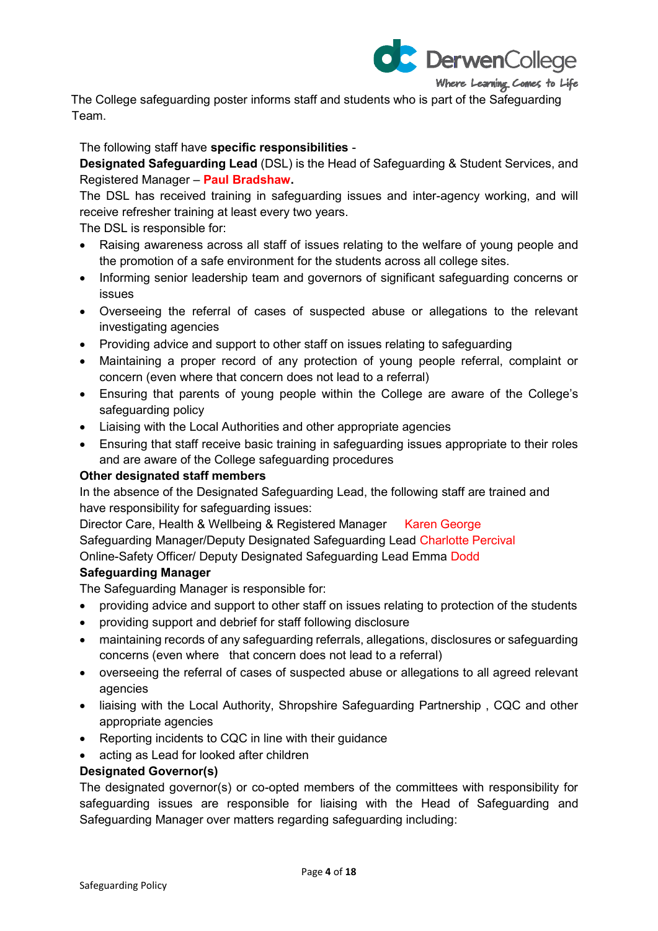

The College safeguarding poster informs staff and students who is part of the Safeguarding Team.

The following staff have **specific responsibilities** -

**Designated Safeguarding Lead** (DSL) is the Head of Safeguarding & Student Services, and Registered Manager – **Paul Bradshaw.**

The DSL has received training in safeguarding issues and inter-agency working, and will receive refresher training at least every two years.

The DSL is responsible for:

- Raising awareness across all staff of issues relating to the welfare of young people and the promotion of a safe environment for the students across all college sites.
- Informing senior leadership team and governors of significant safeguarding concerns or issues
- Overseeing the referral of cases of suspected abuse or allegations to the relevant investigating agencies
- Providing advice and support to other staff on issues relating to safeguarding
- Maintaining a proper record of any protection of young people referral, complaint or concern (even where that concern does not lead to a referral)
- Ensuring that parents of young people within the College are aware of the College's safeguarding policy
- Liaising with the Local Authorities and other appropriate agencies
- Ensuring that staff receive basic training in safeguarding issues appropriate to their roles and are aware of the College safeguarding procedures

#### **Other designated staff members**

In the absence of the Designated Safeguarding Lead, the following staff are trained and have responsibility for safeguarding issues:

Director Care, Health & Wellbeing & Registered Manager Karen George Safeguarding Manager/Deputy Designated Safeguarding Lead Charlotte Percival Online-Safety Officer/ Deputy Designated Safeguarding Lead Emma Dodd

#### **Safeguarding Manager**

The Safeguarding Manager is responsible for:

- providing advice and support to other staff on issues relating to protection of the students
- providing support and debrief for staff following disclosure
- maintaining records of any safeguarding referrals, allegations, disclosures or safeguarding concerns (even where that concern does not lead to a referral)
- overseeing the referral of cases of suspected abuse or allegations to all agreed relevant agencies
- liaising with the Local Authority, Shropshire Safeguarding Partnership , CQC and other appropriate agencies
- Reporting incidents to CQC in line with their guidance
- acting as Lead for looked after children

#### **Designated Governor(s)**

The designated governor(s) or co-opted members of the committees with responsibility for safeguarding issues are responsible for liaising with the Head of Safeguarding and Safeguarding Manager over matters regarding safeguarding including: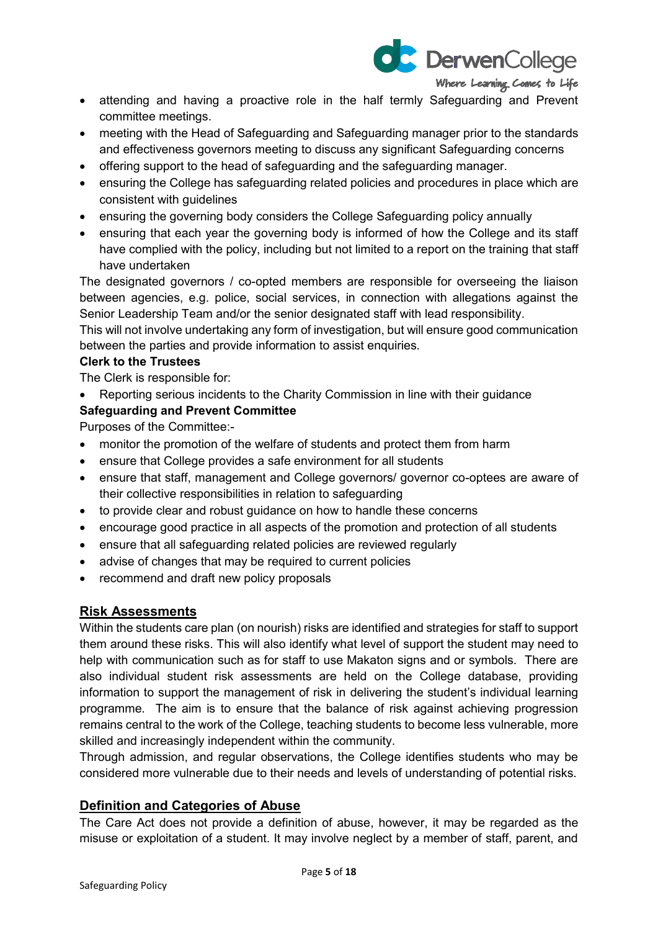

- attending and having a proactive role in the half termly Safeguarding and Prevent committee meetings.
- meeting with the Head of Safeguarding and Safeguarding manager prior to the standards and effectiveness governors meeting to discuss any significant Safeguarding concerns
- offering support to the head of safeguarding and the safeguarding manager.
- ensuring the College has safeguarding related policies and procedures in place which are consistent with guidelines
- ensuring the governing body considers the College Safeguarding policy annually
- ensuring that each year the governing body is informed of how the College and its staff have complied with the policy, including but not limited to a report on the training that staff have undertaken

The designated governors / co-opted members are responsible for overseeing the liaison between agencies, e.g. police, social services, in connection with allegations against the Senior Leadership Team and/or the senior designated staff with lead responsibility.

This will not involve undertaking any form of investigation, but will ensure good communication between the parties and provide information to assist enquiries.

## **Clerk to the Trustees**

The Clerk is responsible for:

• Reporting serious incidents to the Charity Commission in line with their guidance

## **Safeguarding and Prevent Committee**

Purposes of the Committee:-

- monitor the promotion of the welfare of students and protect them from harm
- ensure that College provides a safe environment for all students
- ensure that staff, management and College governors/ governor co-optees are aware of their collective responsibilities in relation to safeguarding
- to provide clear and robust guidance on how to handle these concerns
- encourage good practice in all aspects of the promotion and protection of all students
- ensure that all safeguarding related policies are reviewed regularly
- advise of changes that may be required to current policies
- recommend and draft new policy proposals

# **Risk Assessments**

Within the students care plan (on nourish) risks are identified and strategies for staff to support them around these risks. This will also identify what level of support the student may need to help with communication such as for staff to use Makaton signs and or symbols. There are also individual student risk assessments are held on the College database, providing information to support the management of risk in delivering the student's individual learning programme. The aim is to ensure that the balance of risk against achieving progression remains central to the work of the College, teaching students to become less vulnerable, more skilled and increasingly independent within the community.

Through admission, and regular observations, the College identifies students who may be considered more vulnerable due to their needs and levels of understanding of potential risks.

#### **Definition and Categories of Abuse**

The Care Act does not provide a definition of abuse, however, it may be regarded as the misuse or exploitation of a student. It may involve neglect by a member of staff, parent, and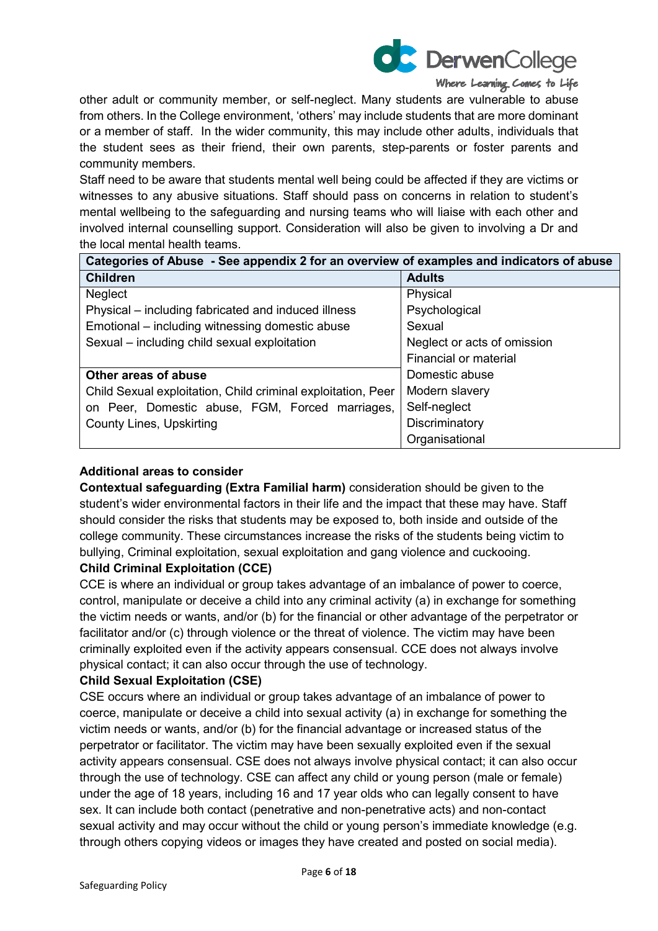

other adult or community member, or self-neglect. Many students are vulnerable to abuse from others. In the College environment, 'others' may include students that are more dominant or a member of staff. In the wider community, this may include other adults, individuals that the student sees as their friend, their own parents, step-parents or foster parents and community members.

Staff need to be aware that students mental well being could be affected if they are victims or witnesses to any abusive situations. Staff should pass on concerns in relation to student's mental wellbeing to the safeguarding and nursing teams who will liaise with each other and involved internal counselling support. Consideration will also be given to involving a Dr and the local mental health teams.

| Categories of Abuse - See appendix 2 for an overview of examples and indicators of abuse |                             |  |
|------------------------------------------------------------------------------------------|-----------------------------|--|
| <b>Children</b>                                                                          | <b>Adults</b>               |  |
| Neglect                                                                                  | Physical                    |  |
| Physical – including fabricated and induced illness                                      | Psychological               |  |
| Emotional – including witnessing domestic abuse                                          | Sexual                      |  |
| Sexual - including child sexual exploitation                                             | Neglect or acts of omission |  |
|                                                                                          | Financial or material       |  |
| Other areas of abuse                                                                     | Domestic abuse              |  |
| Child Sexual exploitation, Child criminal exploitation, Peer                             | Modern slavery              |  |
| on Peer, Domestic abuse, FGM, Forced marriages,                                          | Self-neglect                |  |
| <b>County Lines, Upskirting</b>                                                          | Discriminatory              |  |
|                                                                                          | Organisational              |  |

#### **Additional areas to consider**

**Contextual safeguarding (Extra Familial harm)** consideration should be given to the student's wider environmental factors in their life and the impact that these may have. Staff should consider the risks that students may be exposed to, both inside and outside of the college community. These circumstances increase the risks of the students being victim to bullying, Criminal exploitation, sexual exploitation and gang violence and cuckooing.

# **Child Criminal Exploitation (CCE)**

CCE is where an individual or group takes advantage of an imbalance of power to coerce, control, manipulate or deceive a child into any criminal activity (a) in exchange for something the victim needs or wants, and/or (b) for the financial or other advantage of the perpetrator or facilitator and/or (c) through violence or the threat of violence. The victim may have been criminally exploited even if the activity appears consensual. CCE does not always involve physical contact; it can also occur through the use of technology.

#### **Child Sexual Exploitation (CSE)**

CSE occurs where an individual or group takes advantage of an imbalance of power to coerce, manipulate or deceive a child into sexual activity (a) in exchange for something the victim needs or wants, and/or (b) for the financial advantage or increased status of the perpetrator or facilitator. The victim may have been sexually exploited even if the sexual activity appears consensual. CSE does not always involve physical contact; it can also occur through the use of technology. CSE can affect any child or young person (male or female) under the age of 18 years, including 16 and 17 year olds who can legally consent to have sex. It can include both contact (penetrative and non-penetrative acts) and non-contact sexual activity and may occur without the child or young person's immediate knowledge (e.g. through others copying videos or images they have created and posted on social media).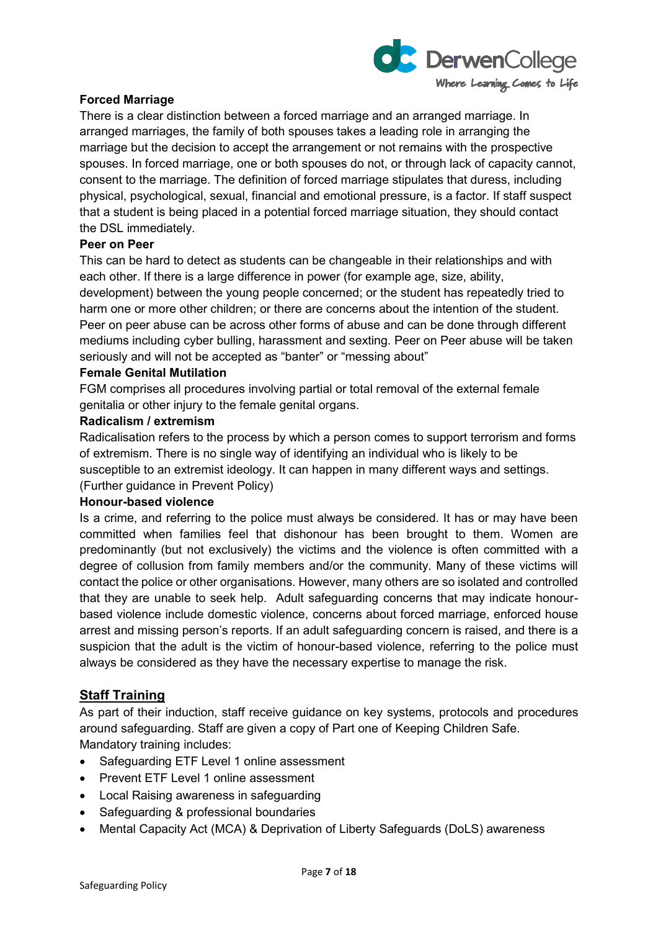

### **Forced Marriage**

There is a clear distinction between a forced marriage and an arranged marriage. In arranged marriages, the family of both spouses takes a leading role in arranging the marriage but the decision to accept the arrangement or not remains with the prospective spouses. In forced marriage, one or both spouses do not, or through lack of capacity cannot, consent to the marriage. The definition of forced marriage stipulates that duress, including physical, psychological, sexual, financial and emotional pressure, is a factor. If staff suspect that a student is being placed in a potential forced marriage situation, they should contact the DSL immediately.

#### **Peer on Peer**

This can be hard to detect as students can be changeable in their relationships and with each other. If there is a large difference in power (for example age, size, ability, development) between the young people concerned; or the student has repeatedly tried to harm one or more other children; or there are concerns about the intention of the student. Peer on peer abuse can be across other forms of abuse and can be done through different mediums including cyber bulling, harassment and sexting. Peer on Peer abuse will be taken seriously and will not be accepted as "banter" or "messing about"

#### **Female Genital Mutilation**

FGM comprises all procedures involving partial or total removal of the external female genitalia or other injury to the female genital organs.

#### **Radicalism / extremism**

Radicalisation refers to the process by which a person comes to support terrorism and forms of extremism. There is no single way of identifying an individual who is likely to be susceptible to an extremist ideology. It can happen in many different ways and settings.

# (Further guidance in Prevent Policy)

## **Honour-based violence**

Is a crime, and referring to the police must always be considered. It has or may have been committed when families feel that dishonour has been brought to them. Women are predominantly (but not exclusively) the victims and the violence is often committed with a degree of collusion from family members and/or the community. Many of these victims will contact the police or other organisations. However, many others are so isolated and controlled that they are unable to seek help. Adult safeguarding concerns that may indicate honourbased violence include domestic violence, concerns about forced marriage, enforced house arrest and missing person's reports. If an adult safeguarding concern is raised, and there is a suspicion that the adult is the victim of honour-based violence, referring to the police must always be considered as they have the necessary expertise to manage the risk.

### **Staff Training**

As part of their induction, staff receive guidance on key systems, protocols and procedures around safeguarding. Staff are given a copy of Part one of Keeping Children Safe. Mandatory training includes:

- Safeguarding ETF Level 1 online assessment
- Prevent ETF Level 1 online assessment
- Local Raising awareness in safeguarding
- Safeguarding & professional boundaries
- Mental Capacity Act (MCA) & Deprivation of Liberty Safeguards (DoLS) awareness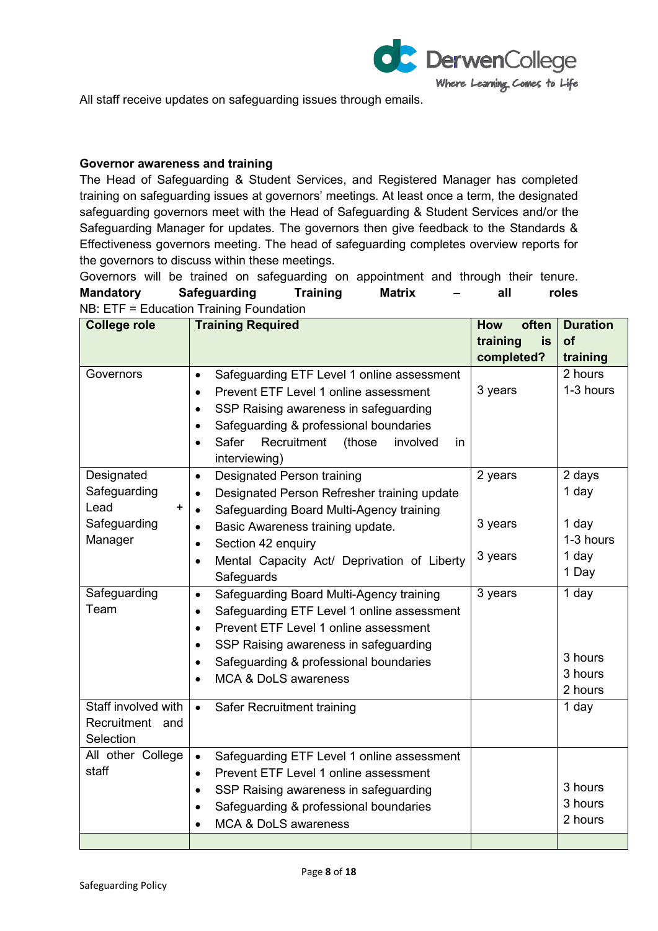

All staff receive updates on safeguarding issues through emails.

### **Governor awareness and training**

The Head of Safeguarding & Student Services, and Registered Manager has completed training on safeguarding issues at governors' meetings. At least once a term, the designated safeguarding governors meet with the Head of Safeguarding & Student Services and/or the Safeguarding Manager for updates. The governors then give feedback to the Standards & Effectiveness governors meeting. The head of safeguarding completes overview reports for the governors to discuss within these meetings.

Governors will be trained on safeguarding on appointment and through their tenure. **Mandatory Safeguarding Training Matrix – all roles** NB: ETF = Education Training Foundation

| <b>College role</b>        | <b>Training Required</b>                                       | often<br><b>How</b>   | <b>Duration</b> |
|----------------------------|----------------------------------------------------------------|-----------------------|-----------------|
|                            |                                                                | training<br><b>is</b> | of              |
|                            |                                                                | completed?            | training        |
| Governors                  | Safeguarding ETF Level 1 online assessment<br>$\bullet$        |                       | 2 hours         |
|                            | Prevent ETF Level 1 online assessment<br>$\bullet$             | 3 years               | 1-3 hours       |
|                            | SSP Raising awareness in safeguarding<br>$\bullet$             |                       |                 |
|                            | Safeguarding & professional boundaries<br>$\bullet$            |                       |                 |
|                            | Recruitment<br>Safer<br>(those<br>involved<br>in.<br>$\bullet$ |                       |                 |
|                            | interviewing)                                                  |                       |                 |
| Designated                 | <b>Designated Person training</b><br>$\bullet$                 | 2 years               | 2 days          |
| Safeguarding               | Designated Person Refresher training update<br>$\bullet$       |                       | 1 day           |
| Lead<br>+                  | Safeguarding Board Multi-Agency training<br>$\bullet$          |                       |                 |
| Safeguarding               | Basic Awareness training update.<br>$\bullet$                  | 3 years               | 1 day           |
| Manager                    | Section 42 enquiry<br>$\bullet$                                |                       | 1-3 hours       |
|                            | Mental Capacity Act/ Deprivation of Liberty<br>$\bullet$       | 3 years               | 1 day           |
|                            | Safeguards                                                     |                       | 1 Day           |
| Safeguarding               | Safeguarding Board Multi-Agency training<br>$\bullet$          | 3 years               | 1 day           |
| Team                       | Safeguarding ETF Level 1 online assessment<br>$\bullet$        |                       |                 |
|                            | Prevent ETF Level 1 online assessment<br>$\bullet$             |                       |                 |
|                            | SSP Raising awareness in safeguarding<br>$\bullet$             |                       |                 |
|                            | Safeguarding & professional boundaries<br>$\bullet$            |                       | 3 hours         |
|                            | <b>MCA &amp; DoLS awareness</b><br>$\bullet$                   |                       | 3 hours         |
|                            |                                                                |                       | 2 hours         |
| Staff involved with        | $\bullet$<br>Safer Recruitment training                        |                       | 1 day           |
| Recruitment and            |                                                                |                       |                 |
| Selection                  |                                                                |                       |                 |
| All other College<br>staff | Safeguarding ETF Level 1 online assessment<br>$\bullet$        |                       |                 |
|                            | Prevent ETF Level 1 online assessment<br>$\bullet$             |                       | 3 hours         |
|                            | SSP Raising awareness in safeguarding<br>$\bullet$             |                       | 3 hours         |
|                            | Safeguarding & professional boundaries<br>$\bullet$            |                       | 2 hours         |
|                            | MCA & DoLS awareness                                           |                       |                 |
|                            |                                                                |                       |                 |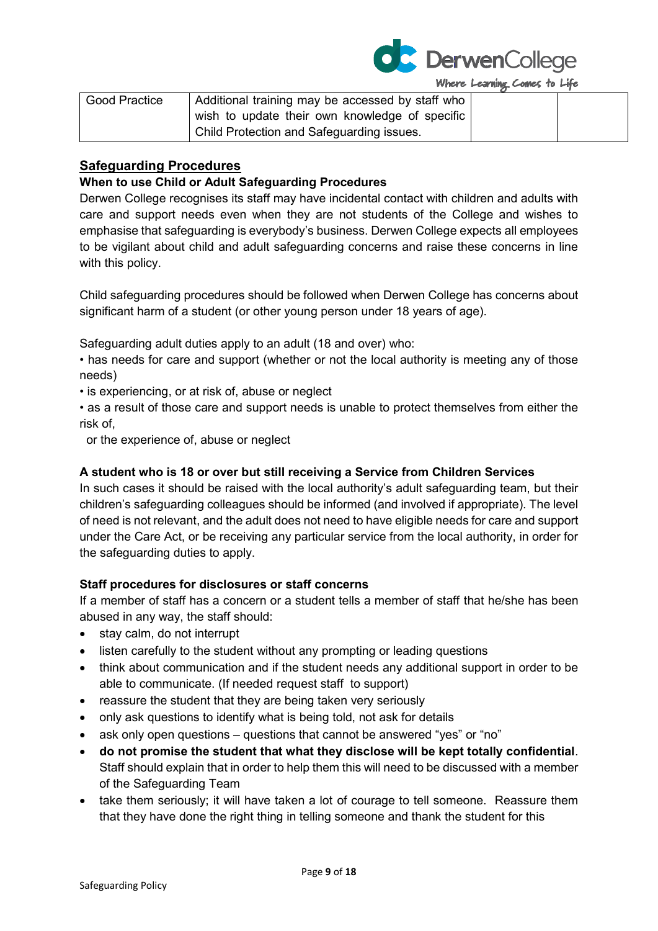

| <b>Good Practice</b> | Additional training may be accessed by staff who |  |
|----------------------|--------------------------------------------------|--|
|                      | wish to update their own knowledge of specific   |  |
|                      | Child Protection and Safeguarding issues.        |  |

# **Safeguarding Procedures**

## **When to use Child or Adult Safeguarding Procedures**

Derwen College recognises its staff may have incidental contact with children and adults with care and support needs even when they are not students of the College and wishes to emphasise that safeguarding is everybody's business. Derwen College expects all employees to be vigilant about child and adult safeguarding concerns and raise these concerns in line with this policy.

Child safeguarding procedures should be followed when Derwen College has concerns about significant harm of a student (or other young person under 18 years of age).

Safeguarding adult duties apply to an adult (18 and over) who:

- has needs for care and support (whether or not the local authority is meeting any of those needs)
- is experiencing, or at risk of, abuse or neglect
- as a result of those care and support needs is unable to protect themselves from either the risk of,

or the experience of, abuse or neglect

## **A student who is 18 or over but still receiving a Service from Children Services**

In such cases it should be raised with the local authority's adult safeguarding team, but their children's safeguarding colleagues should be informed (and involved if appropriate). The level of need is not relevant, and the adult does not need to have eligible needs for care and support under the Care Act, or be receiving any particular service from the local authority, in order for the safeguarding duties to apply.

#### **Staff procedures for disclosures or staff concerns**

If a member of staff has a concern or a student tells a member of staff that he/she has been abused in any way, the staff should:

- stay calm, do not interrupt
- listen carefully to the student without any prompting or leading questions
- think about communication and if the student needs any additional support in order to be able to communicate. (If needed request staff to support)
- reassure the student that they are being taken very seriously
- only ask questions to identify what is being told, not ask for details
- ask only open questions questions that cannot be answered "yes" or "no"
- **do not promise the student that what they disclose will be kept totally confidential**. Staff should explain that in order to help them this will need to be discussed with a member of the Safeguarding Team
- take them seriously; it will have taken a lot of courage to tell someone. Reassure them that they have done the right thing in telling someone and thank the student for this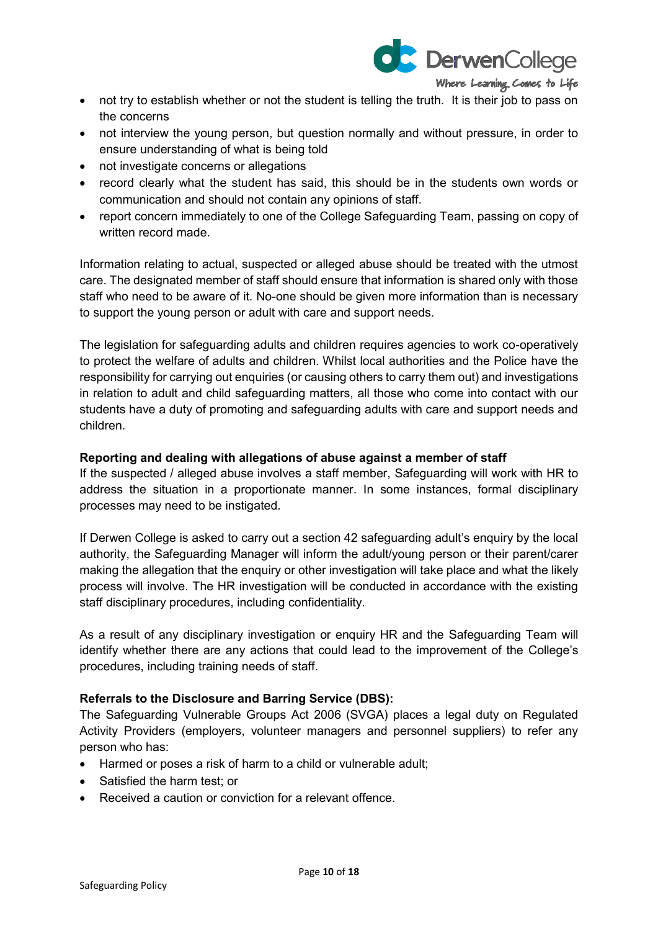

- not try to establish whether or not the student is telling the truth. It is their job to pass on the concerns
- not interview the young person, but question normally and without pressure, in order to ensure understanding of what is being told
- not investigate concerns or allegations
- record clearly what the student has said, this should be in the students own words or communication and should not contain any opinions of staff.
- report concern immediately to one of the College Safeguarding Team, passing on copy of written record made.

Information relating to actual, suspected or alleged abuse should be treated with the utmost care. The designated member of staff should ensure that information is shared only with those staff who need to be aware of it. No-one should be given more information than is necessary to support the young person or adult with care and support needs.

The legislation for safeguarding adults and children requires agencies to work co-operatively to protect the welfare of adults and children. Whilst local authorities and the Police have the responsibility for carrying out enquiries (or causing others to carry them out) and investigations in relation to adult and child safeguarding matters, all those who come into contact with our students have a duty of promoting and safeguarding adults with care and support needs and children.

#### **Reporting and dealing with allegations of abuse against a member of staff**

If the suspected / alleged abuse involves a staff member, Safeguarding will work with HR to address the situation in a proportionate manner. In some instances, formal disciplinary processes may need to be instigated.

If Derwen College is asked to carry out a section 42 safeguarding adult's enquiry by the local authority, the Safeguarding Manager will inform the adult/young person or their parent/carer making the allegation that the enquiry or other investigation will take place and what the likely process will involve. The HR investigation will be conducted in accordance with the existing staff disciplinary procedures, including confidentiality.

As a result of any disciplinary investigation or enquiry HR and the Safeguarding Team will identify whether there are any actions that could lead to the improvement of the College's procedures, including training needs of staff.

#### **Referrals to the Disclosure and Barring Service (DBS):**

The Safeguarding Vulnerable Groups Act 2006 (SVGA) places a legal duty on Regulated Activity Providers (employers, volunteer managers and personnel suppliers) to refer any person who has:

- Harmed or poses a risk of harm to a child or vulnerable adult;
- Satisfied the harm test; or
- Received a caution or conviction for a relevant offence.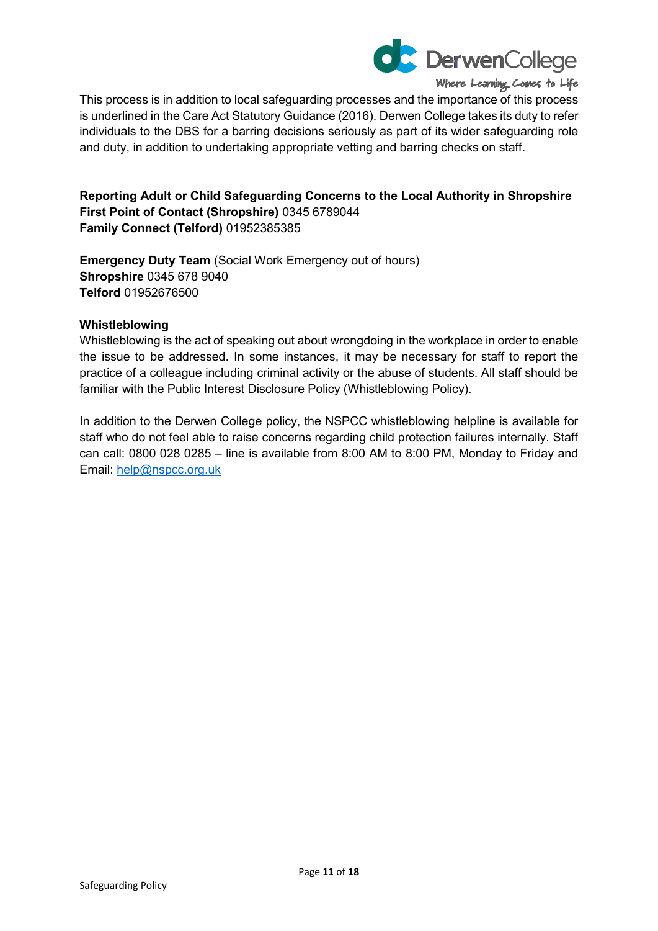

This process is in addition to local safeguarding processes and the importance of this process is underlined in the Care Act Statutory Guidance (2016). Derwen College takes its duty to refer individuals to the DBS for a barring decisions seriously as part of its wider safeguarding role and duty, in addition to undertaking appropriate vetting and barring checks on staff.

**Reporting Adult or Child Safeguarding Concerns to the Local Authority in Shropshire First Point of Contact (Shropshire)** 0345 6789044 **Family Connect (Telford)** 01952385385

**Emergency Duty Team** (Social Work Emergency out of hours) **Shropshire** 0345 678 9040 **Telford** 01952676500

#### **Whistleblowing**

Whistleblowing is the act of speaking out about wrongdoing in the workplace in order to enable the issue to be addressed. In some instances, it may be necessary for staff to report the practice of a colleague including criminal activity or the abuse of students. All staff should be familiar with the Public Interest Disclosure Policy (Whistleblowing Policy).

In addition to the Derwen College policy, the NSPCC whistleblowing helpline is available for staff who do not feel able to raise concerns regarding child protection failures internally. Staff can call: 0800 028 0285 – line is available from 8:00 AM to 8:00 PM, Monday to Friday and Email: [help@nspcc.org.uk](mailto:help@nspcc.org.uk)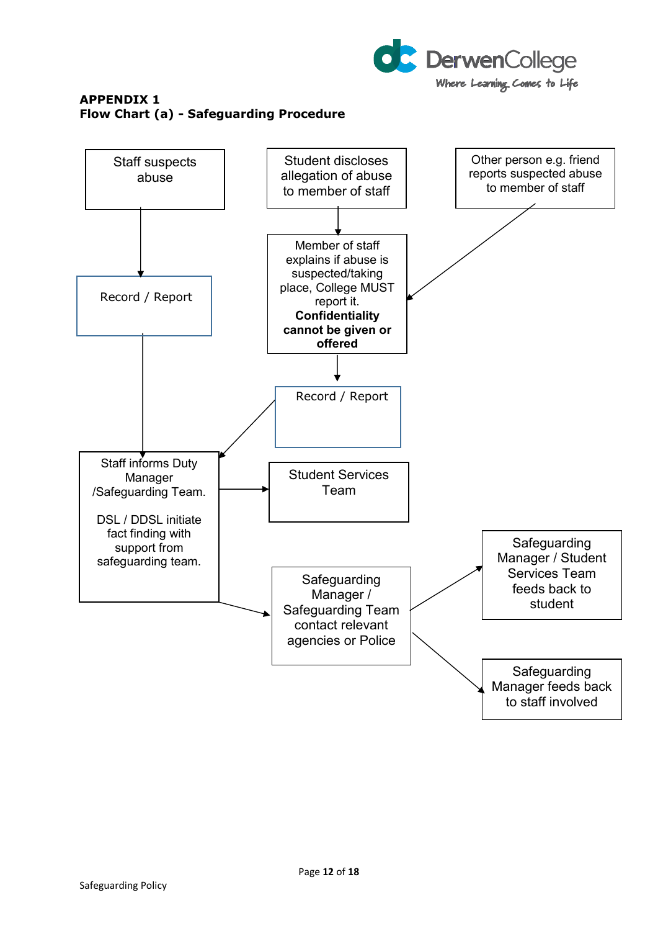

## **APPENDIX 1 Flow Chart (a) - Safeguarding Procedure**

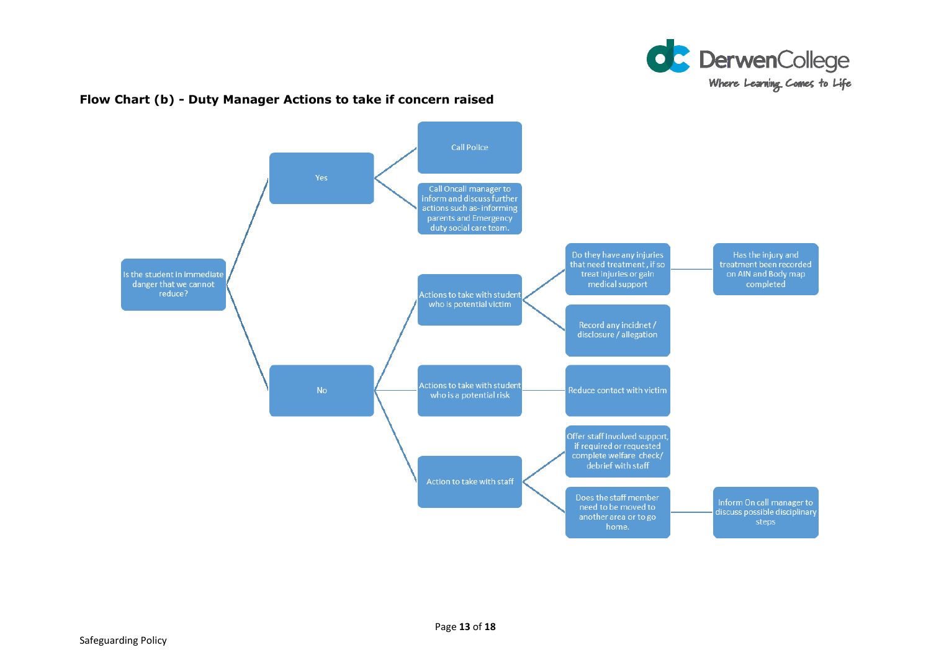

#### **Flow Chart (b) - Duty Manager Actions to take if concern raised**

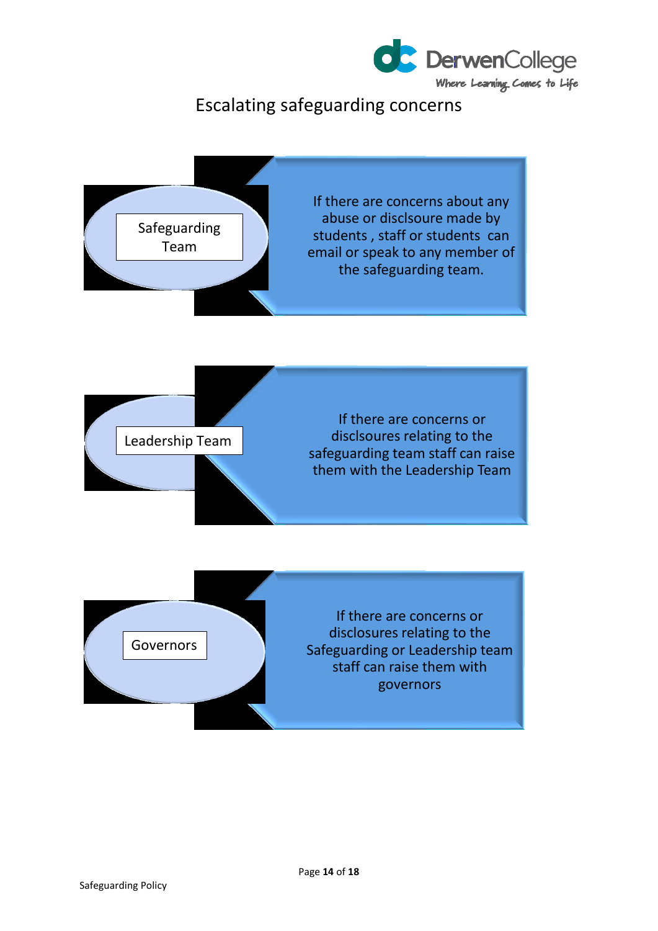

# Escalating safeguarding concerns





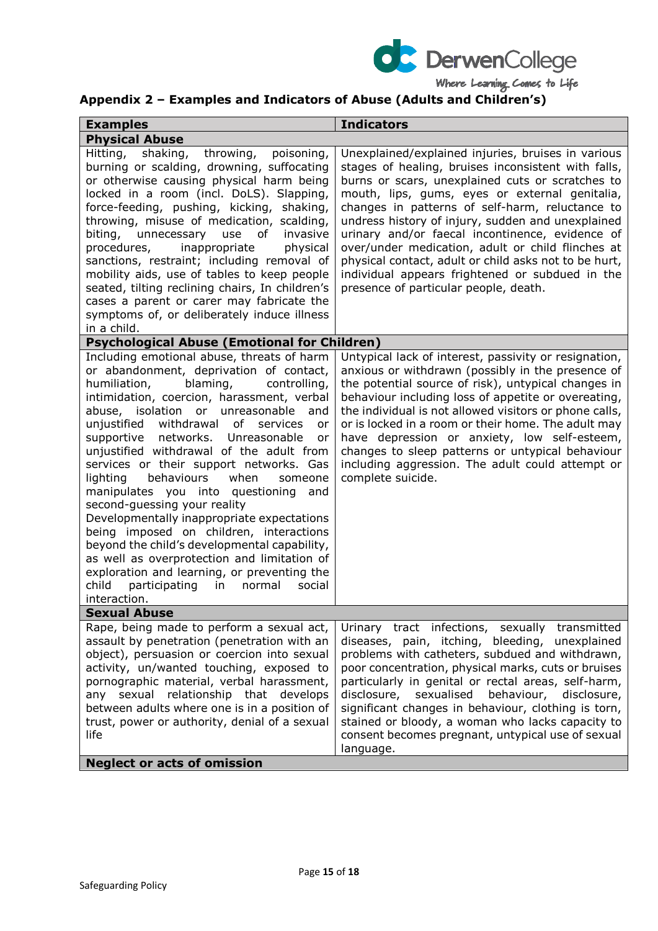

# **Appendix 2 – Examples and Indicators of Abuse (Adults and Children's)**

| <b>Examples</b>                                                                                                                                                                                                                                                                                                                                                                                                                                                                                                                                                                                                                                                                                                                                                                                                                                | <b>Indicators</b>                                                                                                                                                                                                                                                                                                                                                                                                                                                                                                                                                                    |
|------------------------------------------------------------------------------------------------------------------------------------------------------------------------------------------------------------------------------------------------------------------------------------------------------------------------------------------------------------------------------------------------------------------------------------------------------------------------------------------------------------------------------------------------------------------------------------------------------------------------------------------------------------------------------------------------------------------------------------------------------------------------------------------------------------------------------------------------|--------------------------------------------------------------------------------------------------------------------------------------------------------------------------------------------------------------------------------------------------------------------------------------------------------------------------------------------------------------------------------------------------------------------------------------------------------------------------------------------------------------------------------------------------------------------------------------|
| <b>Physical Abuse</b>                                                                                                                                                                                                                                                                                                                                                                                                                                                                                                                                                                                                                                                                                                                                                                                                                          |                                                                                                                                                                                                                                                                                                                                                                                                                                                                                                                                                                                      |
| Hitting,<br>shaking,<br>throwing,<br>poisoning,<br>burning or scalding, drowning, suffocating<br>or otherwise causing physical harm being<br>locked in a room (incl. DoLS). Slapping,<br>force-feeding, pushing, kicking, shaking,<br>throwing, misuse of medication, scalding,<br>biting,<br>unnecessary use of<br>invasive<br>inappropriate<br>procedures,<br>physical<br>sanctions, restraint; including removal of<br>mobility aids, use of tables to keep people<br>seated, tilting reclining chairs, In children's<br>cases a parent or carer may fabricate the<br>symptoms of, or deliberately induce illness<br>in a child.                                                                                                                                                                                                            | Unexplained/explained injuries, bruises in various<br>stages of healing, bruises inconsistent with falls,<br>burns or scars, unexplained cuts or scratches to<br>mouth, lips, gums, eyes or external genitalia,<br>changes in patterns of self-harm, reluctance to<br>undress history of injury, sudden and unexplained<br>urinary and/or faecal incontinence, evidence of<br>over/under medication, adult or child flinches at<br>physical contact, adult or child asks not to be hurt,<br>individual appears frightened or subdued in the<br>presence of particular people, death. |
| <b>Psychological Abuse (Emotional for Children)</b>                                                                                                                                                                                                                                                                                                                                                                                                                                                                                                                                                                                                                                                                                                                                                                                            |                                                                                                                                                                                                                                                                                                                                                                                                                                                                                                                                                                                      |
| Including emotional abuse, threats of harm<br>or abandonment, deprivation of contact,<br>humiliation,<br>blaming,<br>controlling,<br>intimidation, coercion, harassment, verbal<br>abuse, isolation or unreasonable and<br>unjustified withdrawal<br>of<br>services<br>or<br>supportive<br>networks. Unreasonable<br>or<br>unjustified withdrawal of the adult from<br>services or their support networks. Gas<br>lighting<br>behaviours<br>when<br>someone<br>manipulates you into questioning and<br>second-guessing your reality<br>Developmentally inappropriate expectations<br>being imposed on children, interactions<br>beyond the child's developmental capability,<br>as well as overprotection and limitation of<br>exploration and learning, or preventing the<br>child<br>participating<br>in<br>normal<br>social<br>interaction. | Untypical lack of interest, passivity or resignation,<br>anxious or withdrawn (possibly in the presence of<br>the potential source of risk), untypical changes in<br>behaviour including loss of appetite or overeating,<br>the individual is not allowed visitors or phone calls,<br>or is locked in a room or their home. The adult may<br>have depression or anxiety, low self-esteem,<br>changes to sleep patterns or untypical behaviour<br>including aggression. The adult could attempt or<br>complete suicide.                                                               |
| <b>Sexual Abuse</b>                                                                                                                                                                                                                                                                                                                                                                                                                                                                                                                                                                                                                                                                                                                                                                                                                            |                                                                                                                                                                                                                                                                                                                                                                                                                                                                                                                                                                                      |
| Rape, being made to perform a sexual act,<br>assault by penetration (penetration with an<br>object), persuasion or coercion into sexual<br>activity, un/wanted touching, exposed to<br>pornographic material, verbal harassment,<br>any sexual relationship that develops<br>between adults where one is in a position of<br>trust, power or authority, denial of a sexual<br>life                                                                                                                                                                                                                                                                                                                                                                                                                                                             | Urinary tract infections, sexually transmitted<br>diseases, pain, itching, bleeding, unexplained<br>problems with catheters, subdued and withdrawn,<br>poor concentration, physical marks, cuts or bruises<br>particularly in genital or rectal areas, self-harm,<br>behaviour, disclosure,<br>disclosure, sexualised<br>significant changes in behaviour, clothing is torn,<br>stained or bloody, a woman who lacks capacity to<br>consent becomes pregnant, untypical use of sexual<br>language.                                                                                   |
| <b>Neglect or acts of omission</b>                                                                                                                                                                                                                                                                                                                                                                                                                                                                                                                                                                                                                                                                                                                                                                                                             |                                                                                                                                                                                                                                                                                                                                                                                                                                                                                                                                                                                      |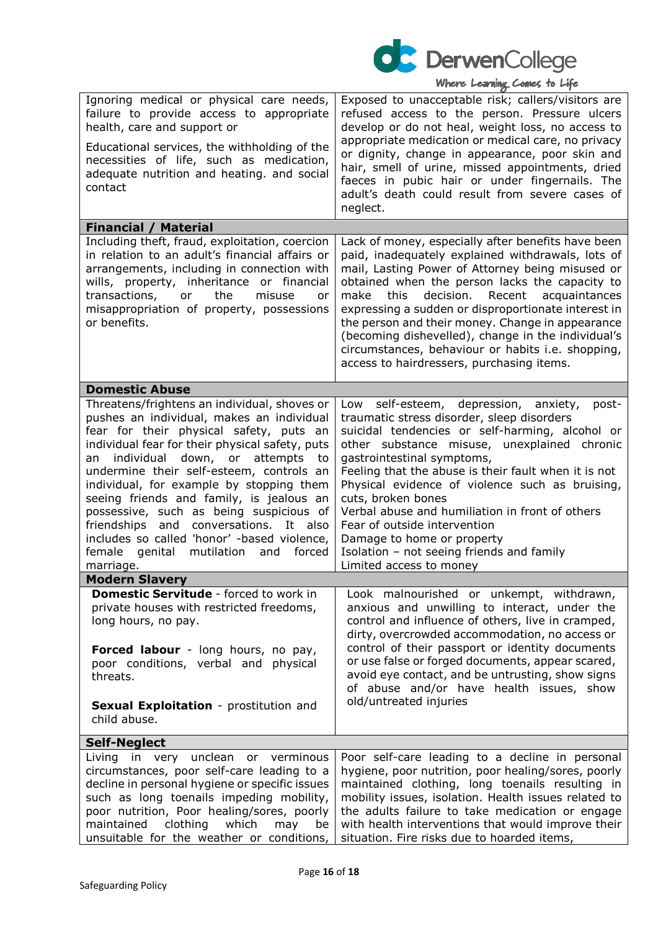

| Ignoring medical or physical care needs,<br>failure to provide access to appropriate<br>health, care and support or<br>Educational services, the withholding of the<br>necessities of life, such as medication,<br>adequate nutrition and heating. and social<br>contact                                                                                                                                                                                                                                                                                            | Exposed to unacceptable risk; callers/visitors are<br>refused access to the person. Pressure ulcers<br>develop or do not heal, weight loss, no access to<br>appropriate medication or medical care, no privacy<br>or dignity, change in appearance, poor skin and<br>hair, smell of urine, missed appointments, dried<br>faeces in pubic hair or under fingernails. The<br>adult's death could result from severe cases of<br>neglect.                                                                                                                    |
|---------------------------------------------------------------------------------------------------------------------------------------------------------------------------------------------------------------------------------------------------------------------------------------------------------------------------------------------------------------------------------------------------------------------------------------------------------------------------------------------------------------------------------------------------------------------|-----------------------------------------------------------------------------------------------------------------------------------------------------------------------------------------------------------------------------------------------------------------------------------------------------------------------------------------------------------------------------------------------------------------------------------------------------------------------------------------------------------------------------------------------------------|
| <b>Financial / Material</b>                                                                                                                                                                                                                                                                                                                                                                                                                                                                                                                                         |                                                                                                                                                                                                                                                                                                                                                                                                                                                                                                                                                           |
| Including theft, fraud, exploitation, coercion<br>in relation to an adult's financial affairs or<br>arrangements, including in connection with<br>wills, property, inheritance or financial<br>transactions,<br>the<br>misuse<br>or<br>or<br>misappropriation of property, possessions<br>or benefits.                                                                                                                                                                                                                                                              | Lack of money, especially after benefits have been<br>paid, inadequately explained withdrawals, lots of<br>mail, Lasting Power of Attorney being misused or<br>obtained when the person lacks the capacity to<br>make<br>this<br>decision.<br>Recent<br>acquaintances<br>expressing a sudden or disproportionate interest in<br>the person and their money. Change in appearance<br>(becoming dishevelled), change in the individual's<br>circumstances, behaviour or habits i.e. shopping,<br>access to hairdressers, purchasing items.                  |
| <b>Domestic Abuse</b>                                                                                                                                                                                                                                                                                                                                                                                                                                                                                                                                               |                                                                                                                                                                                                                                                                                                                                                                                                                                                                                                                                                           |
| Threatens/frightens an individual, shoves or<br>pushes an individual, makes an individual<br>fear for their physical safety, puts an<br>individual fear for their physical safety, puts<br>an individual down, or attempts<br>to<br>undermine their self-esteem, controls an<br>individual, for example by stopping them<br>seeing friends and family, is jealous an<br>possessive, such as being suspicious of<br>friendships and conversations. It also<br>includes so called 'honor' -based violence,<br>female genital mutilation<br>forced<br>and<br>marriage. | self-esteem, depression, anxiety,<br>Low<br>post-<br>traumatic stress disorder, sleep disorders<br>suicidal tendencies or self-harming, alcohol or<br>other substance misuse, unexplained chronic<br>gastrointestinal symptoms,<br>Feeling that the abuse is their fault when it is not<br>Physical evidence of violence such as bruising,<br>cuts, broken bones<br>Verbal abuse and humiliation in front of others<br>Fear of outside intervention<br>Damage to home or property<br>Isolation - not seeing friends and family<br>Limited access to money |
| <b>Modern Slavery</b>                                                                                                                                                                                                                                                                                                                                                                                                                                                                                                                                               |                                                                                                                                                                                                                                                                                                                                                                                                                                                                                                                                                           |
| Domestic Servitude - forced to work in<br>private houses with restricted freedoms,<br>long hours, no pay.<br>Forced labour - long hours, no pay,<br>poor conditions, verbal and physical<br>threats.<br>Sexual Exploitation - prostitution and<br>child abuse.                                                                                                                                                                                                                                                                                                      | Look malnourished or unkempt, withdrawn,<br>anxious and unwilling to interact, under the<br>control and influence of others, live in cramped,<br>dirty, overcrowded accommodation, no access or<br>control of their passport or identity documents<br>or use false or forged documents, appear scared,<br>avoid eye contact, and be untrusting, show signs<br>of abuse and/or have health issues, show<br>old/untreated injuries                                                                                                                          |
| <b>Self-Neglect</b>                                                                                                                                                                                                                                                                                                                                                                                                                                                                                                                                                 |                                                                                                                                                                                                                                                                                                                                                                                                                                                                                                                                                           |
| Living in very unclean<br>or verminous<br>circumstances, poor self-care leading to a<br>decline in personal hygiene or specific issues<br>such as long toenails impeding mobility,<br>poor nutrition, Poor healing/sores, poorly<br>clothing<br>which<br>maintained<br>may<br>be<br>unsuitable for the weather or conditions,                                                                                                                                                                                                                                       | Poor self-care leading to a decline in personal<br>hygiene, poor nutrition, poor healing/sores, poorly<br>maintained clothing, long toenails resulting in<br>mobility issues, isolation. Health issues related to<br>the adults failure to take medication or engage<br>with health interventions that would improve their<br>situation. Fire risks due to hoarded items,                                                                                                                                                                                 |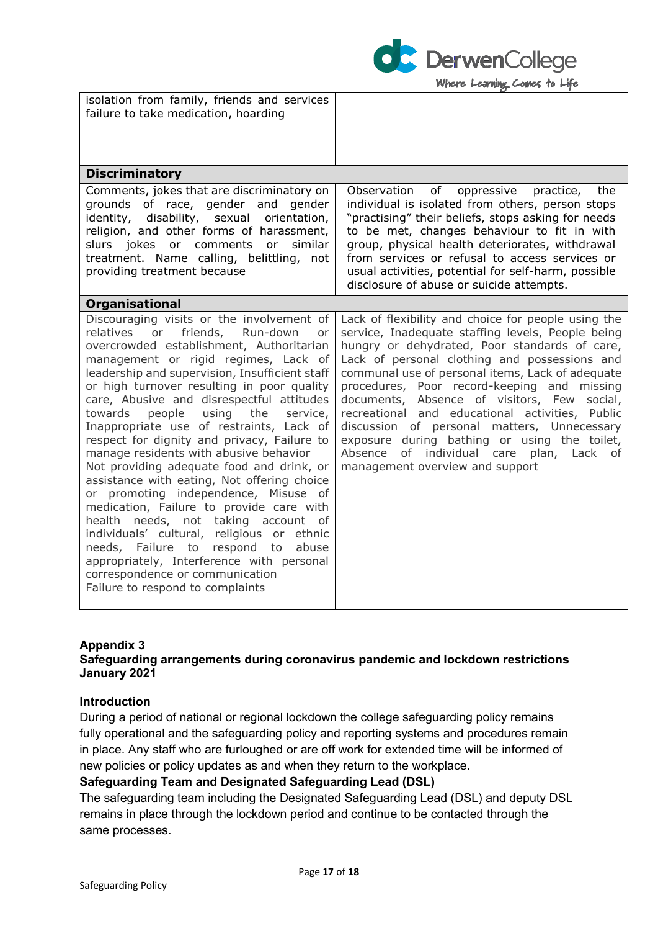

| isolation from family, friends and services<br>failure to take medication, hoarding                                                                                                                                                                                                                                                                                                                                                                                                                                                                                                                                                                                                                                                                                                                                                                                                                                                           |                                                                                                                                                                                                                                                                                                                                                                                                                                                                                                                                                                                                           |
|-----------------------------------------------------------------------------------------------------------------------------------------------------------------------------------------------------------------------------------------------------------------------------------------------------------------------------------------------------------------------------------------------------------------------------------------------------------------------------------------------------------------------------------------------------------------------------------------------------------------------------------------------------------------------------------------------------------------------------------------------------------------------------------------------------------------------------------------------------------------------------------------------------------------------------------------------|-----------------------------------------------------------------------------------------------------------------------------------------------------------------------------------------------------------------------------------------------------------------------------------------------------------------------------------------------------------------------------------------------------------------------------------------------------------------------------------------------------------------------------------------------------------------------------------------------------------|
| <b>Discriminatory</b>                                                                                                                                                                                                                                                                                                                                                                                                                                                                                                                                                                                                                                                                                                                                                                                                                                                                                                                         |                                                                                                                                                                                                                                                                                                                                                                                                                                                                                                                                                                                                           |
| Comments, jokes that are discriminatory on<br>grounds<br>of race, gender and<br>gender<br>disability, sexual<br>identity,<br>orientation,<br>religion, and other forms of harassment,<br>slurs jokes or comments<br>or<br>similar<br>treatment. Name calling, belittling, not<br>providing treatment because                                                                                                                                                                                                                                                                                                                                                                                                                                                                                                                                                                                                                                  | Observation<br>of<br>oppressive<br>practice,<br>the<br>individual is isolated from others, person stops<br>"practising" their beliefs, stops asking for needs<br>to be met, changes behaviour to fit in with<br>group, physical health deteriorates, withdrawal<br>from services or refusal to access services or<br>usual activities, potential for self-harm, possible<br>disclosure of abuse or suicide attempts.                                                                                                                                                                                      |
| <b>Organisational</b>                                                                                                                                                                                                                                                                                                                                                                                                                                                                                                                                                                                                                                                                                                                                                                                                                                                                                                                         |                                                                                                                                                                                                                                                                                                                                                                                                                                                                                                                                                                                                           |
| Discouraging visits or the involvement of<br>friends, Run-down<br>relatives or<br>or<br>overcrowded establishment, Authoritarian<br>management or rigid regimes, Lack of<br>leadership and supervision, Insufficient staff<br>or high turnover resulting in poor quality<br>care, Abusive and disrespectful attitudes<br>towards<br>people<br>using<br>the<br>service,<br>Inappropriate use of restraints, Lack of<br>respect for dignity and privacy, Failure to<br>manage residents with abusive behavior<br>Not providing adequate food and drink, or<br>assistance with eating, Not offering choice<br>or promoting independence, Misuse of<br>medication, Failure to provide care with<br>health needs, not taking account of<br>individuals' cultural, religious or ethnic<br>needs, Failure to respond to<br>abuse<br>appropriately, Interference with personal<br>correspondence or communication<br>Failure to respond to complaints | Lack of flexibility and choice for people using the<br>service, Inadequate staffing levels, People being<br>hungry or dehydrated, Poor standards of care,<br>Lack of personal clothing and possessions and<br>communal use of personal items, Lack of adequate<br>procedures, Poor record-keeping and missing<br>documents, Absence of visitors, Few social,<br>recreational and educational activities, Public<br>discussion of personal matters, Unnecessary<br>exposure during bathing or using the toilet,<br>Absence<br>individual care<br>of<br>plan,<br>Lack of<br>management overview and support |

#### **Appendix 3**

#### **Safeguarding arrangements during coronavirus pandemic and lockdown restrictions January 2021**

#### **Introduction**

During a period of national or regional lockdown the college safeguarding policy remains fully operational and the safeguarding policy and reporting systems and procedures remain in place. Any staff who are furloughed or are off work for extended time will be informed of new policies or policy updates as and when they return to the workplace.

#### **Safeguarding Team and Designated Safeguarding Lead (DSL)**

The safeguarding team including the Designated Safeguarding Lead (DSL) and deputy DSL remains in place through the lockdown period and continue to be contacted through the same processes.